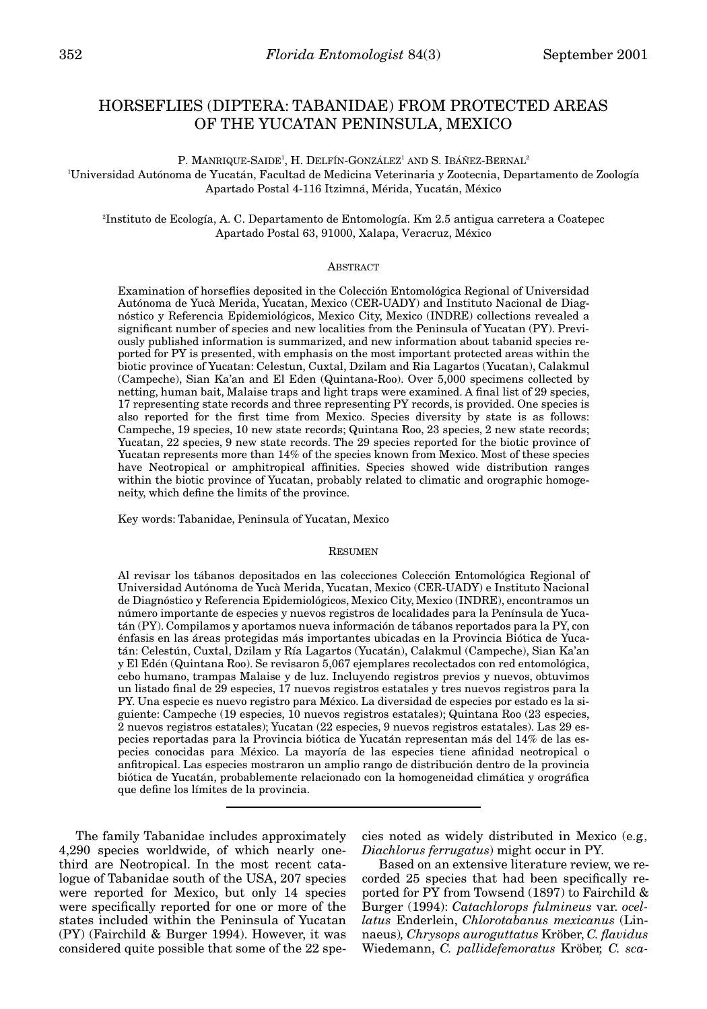# HORSEFLIES (DIPTERA: TABANIDAE) FROM PROTECTED AREAS OF THE YUCATAN PENINSULA, MEXICO

P. MANRIQUE-SAIDE<sup>1</sup>, H. DELFÍN-GONZÁLEZ<sup>1</sup> AND S. IBÁÑEZ-BERNAL<sup>2</sup>

1 Universidad Autónoma de Yucatán, Facultad de Medicina Veterinaria y Zootecnia, Departamento de Zoología Apartado Postal 4-116 Itzimná, Mérida, Yucatán, México

2 Instituto de Ecología, A. C. Departamento de Entomología. Km 2.5 antigua carretera a Coatepec Apartado Postal 63, 91000, Xalapa, Veracruz, México

## ABSTRACT

Examination of horseflies deposited in the Colección Entomológica Regional of Universidad Autónoma de Yucà Merida, Yucatan, Mexico (CER-UADY) and Instituto Nacional de Diagnóstico y Referencia Epidemiológicos, Mexico City, Mexico (INDRE) collections revealed a significant number of species and new localities from the Peninsula of Yucatan (PY). Previously published information is summarized, and new information about tabanid species reported for PY is presented, with emphasis on the most important protected areas within the biotic province of Yucatan: Celestun, Cuxtal, Dzilam and Ria Lagartos (Yucatan), Calakmul (Campeche), Sian Ka'an and El Eden (Quintana-Roo). Over 5,000 specimens collected by netting, human bait, Malaise traps and light traps were examined. A final list of 29 species, 17 representing state records and three representing PY records, is provided. One species is also reported for the first time from Mexico. Species diversity by state is as follows: Campeche, 19 species, 10 new state records; Quintana Roo, 23 species, 2 new state records; Yucatan, 22 species, 9 new state records. The 29 species reported for the biotic province of Yucatan represents more than 14% of the species known from Mexico. Most of these species have Neotropical or amphitropical affinities. Species showed wide distribution ranges within the biotic province of Yucatan, probably related to climatic and orographic homogeneity, which define the limits of the province.

Key words: Tabanidae, Peninsula of Yucatan, Mexico

#### **RESUMEN**

Al revisar los tábanos depositados en las colecciones Colección Entomológica Regional of Universidad Autónoma de Yucà Merida, Yucatan, Mexico (CER-UADY) e Instituto Nacional de Diagnóstico y Referencia Epidemiológicos, Mexico City, Mexico (INDRE), encontramos un número importante de especies y nuevos registros de localidades para la Península de Yucatán (PY). Compilamos y aportamos nueva información de tábanos reportados para la PY, con énfasis en las áreas protegidas más importantes ubicadas en la Provincia Biótica de Yucatán: Celestún, Cuxtal, Dzilam y Ría Lagartos (Yucatán), Calakmul (Campeche), Sian Ka'an y El Edén (Quintana Roo). Se revisaron 5,067 ejemplares recolectados con red entomológica, cebo humano, trampas Malaise y de luz. Incluyendo registros previos y nuevos, obtuvimos un listado final de 29 especies, 17 nuevos registros estatales y tres nuevos registros para la PY. Una especie es nuevo registro para México. La diversidad de especies por estado es la siguiente: Campeche (19 especies, 10 nuevos registros estatales); Quintana Roo (23 especies, 2 nuevos registros estatales); Yucatan (22 especies, 9 nuevos registros estatales). Las 29 especies reportadas para la Provincia biótica de Yucatán representan más del 14% de las especies conocidas para México. La mayoría de las especies tiene afinidad neotropical o anfitropical. Las especies mostraron un amplio rango de distribución dentro de la provincia biótica de Yucatán, probablemente relacionado con la homogeneidad climática y orográfica que define los límites de la provincia.

The family Tabanidae includes approximately 4,290 species worldwide, of which nearly onethird are Neotropical. In the most recent catalogue of Tabanidae south of the USA, 207 species were reported for Mexico, but only 14 species were specifically reported for one or more of the states included within the Peninsula of Yucatan (PY) (Fairchild & Burger 1994). However, it was considered quite possible that some of the 22 spe-

cies noted as widely distributed in Mexico (e.g*., Diachlorus ferrugatus*) might occur in PY.

Based on an extensive literature review, we recorded 25 species that had been specifically reported for PY from Towsend (1897) to Fairchild & Burger (1994): *Catachlorops fulmineus* var. *ocellatus* Enderlein, *Chlorotabanus mexicanus* (Linnaeus)*, Chrysops auroguttatus* Kröber, *C. flavidus* Wiedemann, *C. pallidefemoratus* Kröber*, C. sca-*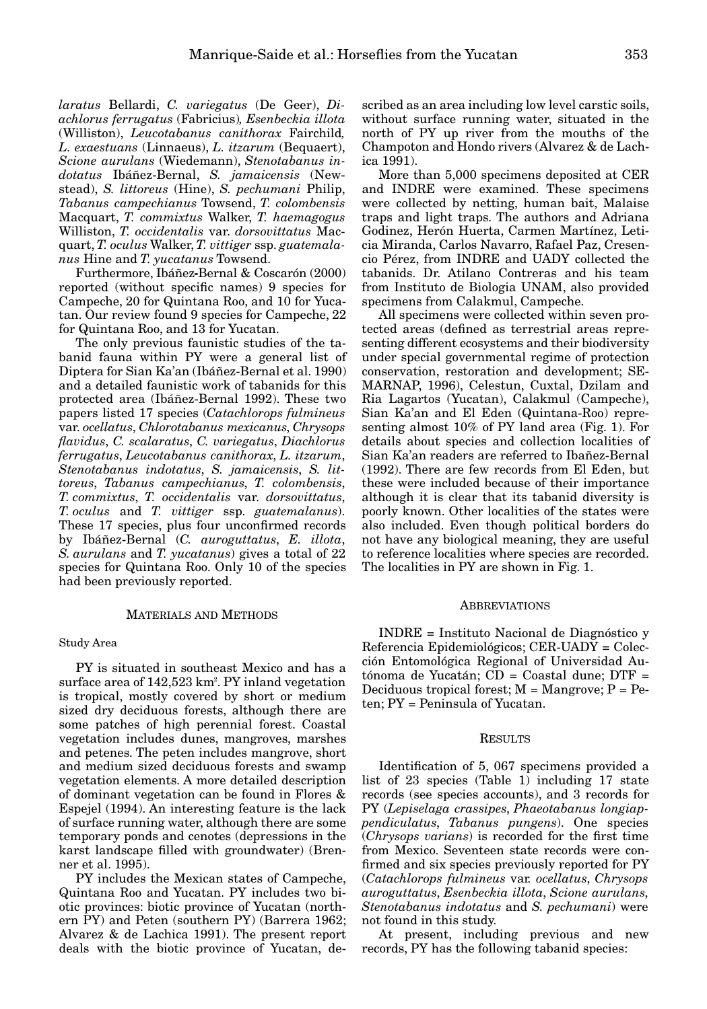*laratus* Bellardi, *C. variegatus* (De Geer), *Diachlorus ferrugatus* (Fabricius)*, Esenbeckia illota* (Williston), *Leucotabanus canithorax* Fairchild*, L. exaestuans* (Linnaeus), *L. itzarum* (Bequaert), *Scione aurulans* (Wiedemann), *Stenotabanus indotatus* Ibáñez-Bernal, *S. jamaicensis* (Newstead), *S. littoreus* (Hine), *S. pechumani* Philip, *Tabanus campechianus* Towsend, *T. colombensis* Macquart, *T. commixtus* Walker, *T. haemagogus* Williston, *T. occidentalis* var. *dorsovittatus* Macquart, *T. oculus* Walker, *T. vittiger* ssp. *guatemalanus* Hine and *T. yucatanus* Towsend.

Furthermore, Ibáñez**-**Bernal & Coscarón (2000) reported (without specific names) 9 species for Campeche, 20 for Quintana Roo, and 10 for Yucatan. Our review found 9 species for Campeche, 22 for Quintana Roo, and 13 for Yucatan.

The only previous faunistic studies of the tabanid fauna within PY were a general list of Diptera for Sian Ka'an (Ibáñez-Bernal et al. 1990) and a detailed faunistic work of tabanids for this protected area (Ibáñez-Bernal 1992). These two papers listed 17 species (*Catachlorops fulmineus* var. *ocellatus*, *Chlorotabanus mexicanus*, *Chrysops flavidus*, *C. scalaratus*, *C. variegatus*, *Diachlorus ferrugatus*, *Leucotabanus canithorax*, *L. itzarum*, *Stenotabanus indotatus*, *S. jamaicensis*, *S. littoreus*, *Tabanus campechianus*, *T. colombensis*, *T. commixtus*, *T. occidentalis* var. *dorsovittatus*, *T. oculus* and *T. vittiger* ssp. *guatemalanus*). These 17 species, plus four unconfirmed records by Ibáñez-Bernal (*C. auroguttatus*, *E. illota*, *S. aurulans* and *T. yucatanus*) gives a total of 22 species for Quintana Roo. Only 10 of the species had been previously reported.

#### MATERIALS AND METHODS

#### Study Area

PY is situated in southeast Mexico and has a surface area of  $142{,}523 \text{ km}^2$ . PY inland vegetation is tropical, mostly covered by short or medium sized dry deciduous forests, although there are some patches of high perennial forest. Coastal vegetation includes dunes, mangroves, marshes and petenes. The peten includes mangrove, short and medium sized deciduous forests and swamp vegetation elements. A more detailed description of dominant vegetation can be found in Flores & Espejel (1994). An interesting feature is the lack of surface running water, although there are some temporary ponds and cenotes (depressions in the karst landscape filled with groundwater) (Brenner et al. 1995).

PY includes the Mexican states of Campeche, Quintana Roo and Yucatan. PY includes two biotic provinces: biotic province of Yucatan (northern PY) and Peten (southern PY) (Barrera 1962; Alvarez & de Lachica 1991). The present report deals with the biotic province of Yucatan, described as an area including low level carstic soils, without surface running water, situated in the north of PY up river from the mouths of the Champoton and Hondo rivers (Alvarez & de Lachica 1991).

More than 5,000 specimens deposited at CER and INDRE were examined. These specimens were collected by netting, human bait, Malaise traps and light traps. The authors and Adriana Godinez, Herón Huerta, Carmen Martínez, Leticia Miranda, Carlos Navarro, Rafael Paz, Cresencio Pérez, from INDRE and UADY collected the tabanids. Dr. Atilano Contreras and his team from Instituto de Biologia UNAM, also provided specimens from Calakmul, Campeche.

All specimens were collected within seven protected areas (defined as terrestrial areas representing different ecosystems and their biodiversity under special governmental regime of protection conservation, restoration and development; SE-MARNAP, 1996), Celestun, Cuxtal, Dzilam and Ria Lagartos (Yucatan), Calakmul (Campeche), Sian Ka'an and El Eden (Quintana-Roo) representing almost 10% of PY land area (Fig. 1). For details about species and collection localities of Sian Ka'an readers are referred to Ibañez-Bernal (1992). There are few records from El Eden, but these were included because of their importance although it is clear that its tabanid diversity is poorly known. Other localities of the states were also included. Even though political borders do not have any biological meaning, they are useful to reference localities where species are recorded. The localities in PY are shown in Fig. 1.

#### ABBREVIATIONS

INDRE = Instituto Nacional de Diagnóstico y Referencia Epidemiológicos; CER-UADY = Colección Entomológica Regional of Universidad Autónoma de Yucatán; CD = Coastal dune; DTF = Deciduous tropical forest;  $M =$ Mangrove;  $P = Pe$ ten; PY = Peninsula of Yucatan.

#### RESULTS

Identification of 5, 067 specimens provided a list of 23 species (Table 1) including 17 state records (see species accounts), and 3 records for PY (*Lepiselaga crassipes*, *Phaeotabanus longiappendiculatus*, *Tabanus pungens*). One species (*Chrysops varians*) is recorded for the first time from Mexico. Seventeen state records were confirmed and six species previously reported for PY (*Catachlorops fulmineus* var*. ocellatus*, *Chrysops auroguttatus*, *Esenbeckia illota*, *Scione aurulans*, *Stenotabanus indotatus* and *S. pechumani*) were not found in this study.

At present, including previous and new records, PY has the following tabanid species: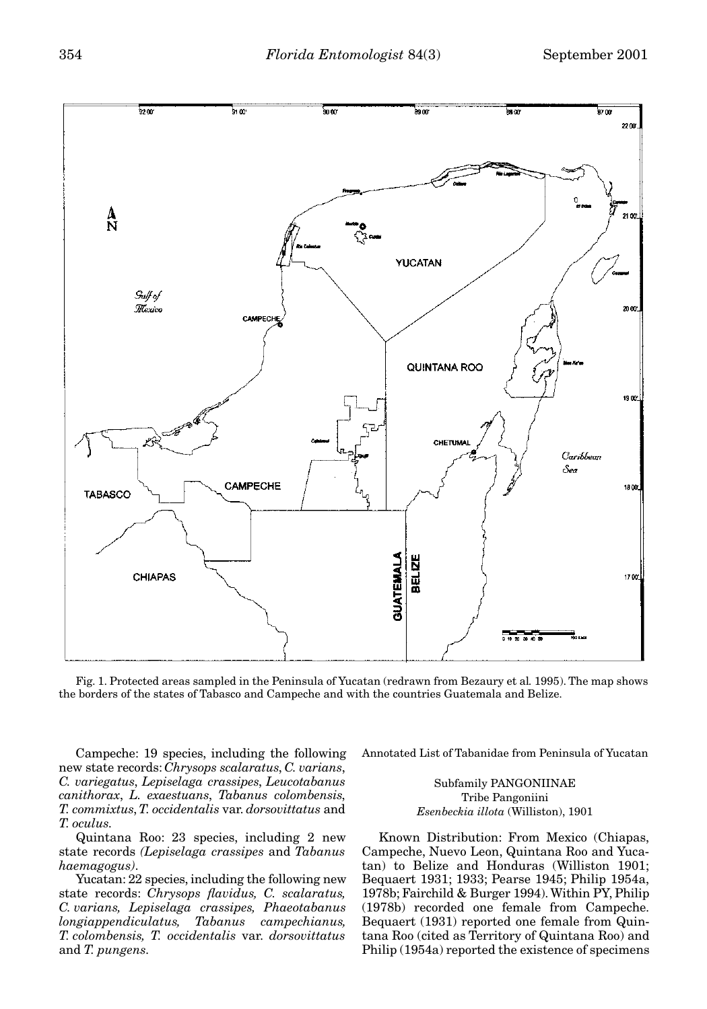

Fig. 1. Protected areas sampled in the Peninsula of Yucatan (redrawn from Bezaury et al*.* 1995). The map shows the borders of the states of Tabasco and Campeche and with the countries Guatemala and Belize.

Campeche: 19 species, including the following new state records: *Chrysops scalaratus*, *C. varians*, *C. variegatus*, *Lepiselaga crassipes*, *Leucotabanus canithorax*, *L. exaestuans*, *Tabanus colombensis*, *T. commixtus*, *T. occidentalis* var. *dorsovittatus* and *T. oculus*.

Quintana Roo: 23 species, including 2 new state records *(Lepiselaga crassipes* and *Tabanus haemagogus)*.

Yucatan: 22 species, including the following new state records: *Chrysops flavidus, C. scalaratus, C. varians, Lepiselaga crassipes, Phaeotabanus longiappendiculatus, Tabanus campechianus, T. colombensis, T. occidentalis* var. *dorsovittatus* and *T. pungens*.

Annotated List of Tabanidae from Peninsula of Yucatan

Subfamily PANGONIINAE Tribe Pangoniini *Esenbeckia illota* (Williston), 1901

Known Distribution: From Mexico (Chiapas, Campeche, Nuevo Leon, Quintana Roo and Yucatan) to Belize and Honduras (Williston 1901; Bequaert 1931; 1933; Pearse 1945; Philip 1954a, 1978b; Fairchild & Burger 1994). Within PY, Philip (1978b) recorded one female from Campeche. Bequaert (1931) reported one female from Quintana Roo (cited as Territory of Quintana Roo) and Philip (1954a) reported the existence of specimens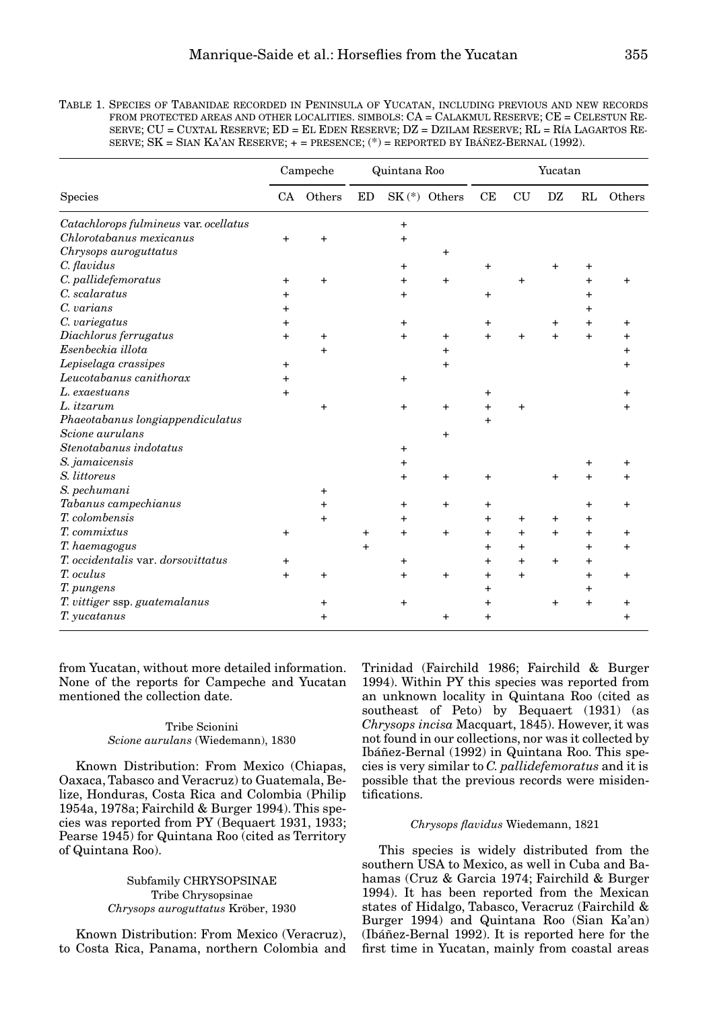| TABLE 1. SPECIES OF TABANIDAE RECORDED IN PENINSULA OF YUCATAN, INCLUDING PREVIOUS AND NEW RECORDS |
|----------------------------------------------------------------------------------------------------|
| FROM PROTECTED AREAS AND OTHER LOCALITIES. SIMBOLS: $CA = CALAKMUL RESERVE$ ; $CE = CELESTUN RE$   |
| SERVE: $CU = CUXTAL RESERVE: ED = EL EDEN RESERVE: DZ = DZILAM RESERVE: RL = RÍA LAGARTOS RE-$     |
| SERVE; SK = SIAN KA'AN RESERVE; $+$ = PRESENCE; $(*)$ = REPORTED BY IBÁÑEZ-BERNAL (1992).          |
|                                                                                                    |

|                                       | Campeche  |           | Quintana Roo   |                |                | Yucatan   |           |           |           |        |
|---------------------------------------|-----------|-----------|----------------|----------------|----------------|-----------|-----------|-----------|-----------|--------|
| <b>Species</b>                        | <b>CA</b> | Others    | ED             |                | $SK(*)$ Others | CE        | CU        | DZ        | RL        | Others |
| Catachlorops fulmineus var. ocellatus |           |           |                | $\ddot{}$      |                |           |           |           |           |        |
| Chlorotabanus mexicanus               |           | $\ddot{}$ |                |                |                |           |           |           |           |        |
| Chrysops auroguttatus                 |           |           |                |                | $\ddot{}$      |           |           |           |           |        |
| C. flavidus                           |           |           |                | +              |                | $\ddot{}$ |           | $+$       | +         |        |
| C. pallidefemoratus                   | $\ddot{}$ | $\pmb{+}$ |                | +              | $\ddot{}$      |           | $\ddot{}$ |           | $\ddot{}$ |        |
| C. scalaratus                         |           |           |                |                |                | $+$       |           |           | +         |        |
| C. varians                            |           |           |                |                |                |           |           |           | +         |        |
| C. variegatus                         | +         |           |                |                |                | $\,^+$    |           | $\ddot{}$ | $\ddot{}$ |        |
| Diachlorus ferrugatus                 | $\ddot{}$ | $\,^+$    |                |                | $\ddot{}$      | $+$       | $\ddot{}$ | $+$       | $\ddot{}$ |        |
| Esenbeckia illota                     |           | +         |                |                | $\pmb{+}$      |           |           |           |           |        |
| Lepiselaga crassipes                  | $\ddot{}$ |           |                |                | $\pmb{+}$      |           |           |           |           |        |
| Leucotabanus canithorax               | +         |           |                |                |                |           |           |           |           |        |
| L. exaestuans                         | $+$       |           |                |                |                | +         |           |           |           |        |
| L. itzarum                            |           | $\ddot{}$ |                | $\ddot{}$      | $\ddot{}$      | $\ddot{}$ | $\ddot{}$ |           |           |        |
| Phaeotabanus longiappendiculatus      |           |           |                |                |                | $\ddot{}$ |           |           |           |        |
| Scione aurulans                       |           |           |                |                | +              |           |           |           |           |        |
| Stenotabanus indotatus                |           |           |                |                |                |           |           |           |           |        |
| S. jamaicensis                        |           |           |                |                |                |           |           |           | +         |        |
| S. littoreus                          |           |           |                | $\ddot{}$      | $\ddot{}$      | $\ddot{}$ |           | $\ddot{}$ | $\ddot{}$ |        |
| S. pechumani                          |           | +         |                |                |                |           |           |           |           |        |
| Tabanus campechianus                  |           | +         |                | $\ddot{}$      | $\ddot{}$      | +         |           |           | $\pmb{+}$ | +      |
| T. colombensis                        |           | $\ddot{}$ |                | +              |                | $\pmb{+}$ | +         | $\ddot{}$ | $\pmb{+}$ |        |
| T. commixtus                          | +         |           | +              | $\ddot{}$      | $\ddot{}$      | +         | $\ddot{}$ | $+$       | $\pmb{+}$ |        |
| T. haemagogus                         |           |           | $\overline{+}$ |                |                | +         | $\ddot{}$ |           | $\ddot{}$ |        |
| T. occidentalis var. dorsovittatus    | +         |           |                | +              |                | +         | $+$       | $\ddot{}$ | $\pmb{+}$ |        |
| T. oculus                             | $+$       | $\ddot{}$ |                | $\overline{+}$ | $\ddot{}$      | $\pmb{+}$ | $+$       |           | $\ddot{}$ | +      |
| T. pungens                            |           |           |                |                |                | $\ddot{}$ |           |           | $\pmb{+}$ |        |
| T. vittiger ssp. guatemalanus         |           | +         |                |                |                |           |           | $+$       | $\ddot{}$ |        |
| T. yucatanus                          |           | +         |                |                | +              | +         |           |           |           |        |

from Yucatan, without more detailed information. None of the reports for Campeche and Yucatan mentioned the collection date.

## Tribe Scionini *Scione aurulans* (Wiedemann), 1830

Known Distribution: From Mexico (Chiapas, Oaxaca, Tabasco and Veracruz) to Guatemala, Belize, Honduras, Costa Rica and Colombia (Philip 1954a, 1978a; Fairchild & Burger 1994). This species was reported from PY (Bequaert 1931, 1933; Pearse 1945) for Quintana Roo (cited as Territory of Quintana Roo).

> Subfamily CHRYSOPSINAE Tribe Chrysopsinae *Chrysops auroguttatus* Kröber, 1930

Known Distribution: From Mexico (Veracruz), to Costa Rica, Panama, northern Colombia and Trinidad (Fairchild 1986; Fairchild & Burger 1994). Within PY this species was reported from an unknown locality in Quintana Roo (cited as southeast of Peto) by Bequaert (1931) (as *Chrysops incisa* Macquart, 1845). However, it was not found in our collections, nor was it collected by Ibáñez-Bernal (1992) in Quintana Roo. This species is very similar to *C. pallidefemoratus* and it is possible that the previous records were misidentifications.

## *Chrysops flavidus* Wiedemann, 1821

This species is widely distributed from the southern USA to Mexico, as well in Cuba and Bahamas (Cruz & Garcia 1974; Fairchild & Burger 1994). It has been reported from the Mexican states of Hidalgo, Tabasco, Veracruz (Fairchild & Burger 1994) and Quintana Roo (Sian Ka'an) (Ibáñez-Bernal 1992). It is reported here for the first time in Yucatan, mainly from coastal areas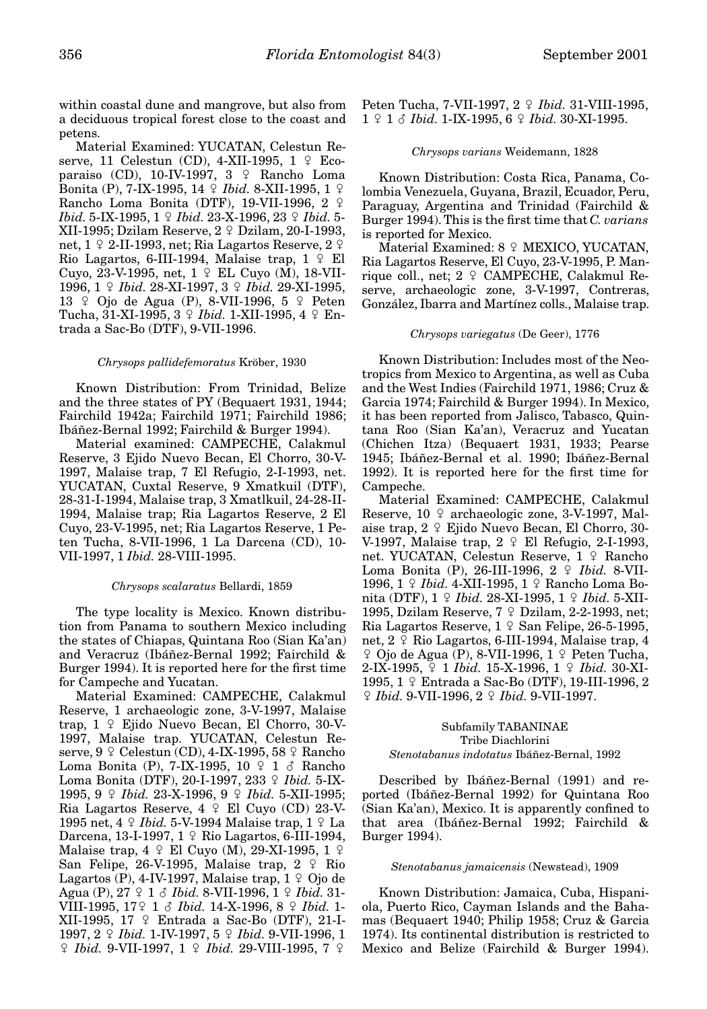within coastal dune and mangrove, but also from a deciduous tropical forest close to the coast and

petens. Material Examined: YUCATAN, Celestun Reserve, 11 Celestun (CD), 4-XII-1995, 1  $\Omega$  Ecoparaiso (CD), 10-IV-1997, 3 º Rancho Loma **Bonita (P), 7-IX-1995, 14** *º Ibid***. 8-XII-1995, 1** *º* Rancho Loma Bonita (DTF), 19-VII-1996, 2  $\varphi$ *Ibid.* 5-IX-1995, 1  $\circ$  *Ibid.* 23-X-1996, 23  $\circ$  *Ibid.* 5-XII-1995; Dzilam Reserve,  $2 \nsubseteq$  Dzilam, 20-I-1993, net,  $1 \nsubseteq 2$ -II-1993, net; Ria Lagartos Reserve,  $2 \nsubseteq$ Rio Lagartos, 6-III-1994, Malaise trap,  $1 \nsubseteq$  El Cuyo, 23-V-1995, net, 1 º EL Cuyo (M), 18-VII-1996, 1  $\Omega$  *Ibid.* 28-XI-1997, 3  $\Omega$  *Ibid.* 29-XI-1995, 13  $\degree$  Ojo de Agua (P), 8-VII-1996, 5  $\degree$  Peten Tucha, 31-XI-1995, 3  $\circ$  *Ibid.* 1-XII-1995, 4  $\circ$  Entrada a Sac-Bo (DTF), 9-VII-1996.

#### *Chrysops pallidefemoratus* Kröber, 1930

Known Distribution: From Trinidad, Belize and the three states of PY (Bequaert 1931, 1944; Fairchild 1942a; Fairchild 1971; Fairchild 1986; Ibáñez-Bernal 1992; Fairchild & Burger 1994).

Material examined: CAMPECHE, Calakmul Reserve, 3 Ejido Nuevo Becan, El Chorro, 30-V-1997, Malaise trap, 7 El Refugio, 2-I-1993, net. YUCATAN, Cuxtal Reserve, 9 Xmatkuil (DTF), 28-31-I-1994, Malaise trap, 3 Xmatlkuil, 24-28-II-1994, Malaise trap; Ria Lagartos Reserve, 2 El Cuyo, 23-V-1995, net; Ria Lagartos Reserve, 1 Peten Tucha, 8-VII-1996, 1 La Darcena (CD), 10- VII-1997, 1 *Ibid.* 28-VIII-1995.

## *Chrysops scalaratus* Bellardi, 1859

The type locality is Mexico. Known distribution from Panama to southern Mexico including the states of Chiapas, Quintana Roo (Sian Ka'an) and Veracruz (Ibáñez-Bernal 1992; Fairchild & Burger 1994). It is reported here for the first time for Campeche and Yucatan.

Material Examined: CAMPECHE, Calakmul Reserve, 1 archaeologic zone, 3-V-1997, Malaise trap,  $1 \nsubseteq$  Ejido Nuevo Becan, El Chorro, 30-V-1997, Malaise trap. YUCATAN, Celestun Reserve,  $9 \nsubseteq$  Celestun (CD), 4-IX-1995, 58  $\nsubseteq$  Rancho Loma Bonita (P), 7-IX-1995, 10  $9$  1  $\delta$  Rancho Loma Bonita (DTF), 20-I-1997, 233 º Ibid. 5-IX-1995, 9  $\Omega$  *Ibid.* 23-X-1996, 9  $\Omega$  *Ibid.* 5-XII-1995; Ria Lagartos Reserve,  $4 \div$  El Cuyo (CD) 23-V-1995 net, 4 *Q Ibid.* 5-V-1994 Malaise trap, 1 *Q* La Darcena, 13-I-1997,  $1 \nsubseteq$  Rio Lagartos, 6-III-1994, Malaise trap,  $4 \nsubseteq$  El Cuyo (M), 29-XI-1995, 1  $\varphi$ San Felipe, 26-V-1995, Malaise trap,  $2 \div R$ io Lagartos (P), 4-IV-1997, Malaise trap,  $1 \nsubseteq$  Ojo de Agua (P), 27  $9 1 \delta$  *Ibid.* 8-VII-1996, 1  $9 1 \delta$  *Ibid.* 31-VIII-1995, 17/ 1 ? *Ibid.* 14-X-1996, 8 / *Ibid.* 1- XII-1995, 17 º Entrada a Sac-Bo (DTF), 21-I-1997, 2  $\Omega$  *Ibid.* 1-IV-1997, 5  $\Omega$  *Ibid.* 9-VII-1996, 1  $\frac{1}{7}$  *Ibid.* 9-VII-1997, 1  $\frac{1}{7}$  *Ibid.* 29-VIII-1995, 7  $\frac{1}{7}$ 

Peten Tucha, 7-VII-1997, 2 º *Ibid.* 31-VIII-1995, 1 º 1 & *Ibid.* 1-IX-1995, 6 º *Ibid.* 30-XI-1995.

#### *Chrysops varians* Weidemann, 1828

Known Distribution: Costa Rica, Panama, Colombia Venezuela, Guyana, Brazil, Ecuador, Peru, Paraguay, Argentina and Trinidad (Fairchild & Burger 1994). This is the first time that *C. varians* is reported for Mexico.

Material Examined:  $8 \nsubseteq$  MEXICO, YUCATAN, Ria Lagartos Reserve, El Cuyo, 23-V-1995, P. Manrique coll., net; 2 º CAMPECHE, Calakmul Reserve, archaeologic zone, 3-V-1997, Contreras, González, Ibarra and Martínez colls., Malaise trap.

#### *Chrysops variegatus* (De Geer), 1776

Known Distribution: Includes most of the Neotropics from Mexico to Argentina, as well as Cuba and the West Indies (Fairchild 1971, 1986; Cruz & Garcia 1974; Fairchild & Burger 1994). In Mexico, it has been reported from Jalisco, Tabasco, Quintana Roo (Sian Ka'an), Veracruz and Yucatan (Chichen Itza) (Bequaert 1931, 1933; Pearse 1945; Ibáñez-Bernal et al. 1990; Ibáñez-Bernal 1992). It is reported here for the first time for Campeche.

Material Examined: CAMPECHE, Calakmul Reserve,  $10 \nvert 2$  archaeologic zone, 3-V-1997, Malaise trap,  $2 \nsubseteq$  Ejido Nuevo Becan, El Chorro, 30-V-1997, Malaise trap,  $2 \div$  El Refugio, 2-I-1993, net. YUCATAN, Celestun Reserve, 1 º Rancho Loma Bonita (P), 26-III-1996, 2 º *Ibid.* 8-VII-1996, 1 º *Ibid.* 4-XII-1995, 1 º Rancho Loma Bonita (DTF), 1  $\frac{1}{7}$  *Ibid.* 28-XI-1995, 1  $\frac{1}{7}$  *Ibid.* 5-XII-1995, Dzilam Reserve,  $7 \nvert 2$  Dzilam, 2-2-1993, net; Ria Lagartos Reserve,  $1 \nsubseteq \text{San Felipe}, 26-5-1995$ , net,  $2 \nsubseteq$  Rio Lagartos, 6-III-1994, Malaise trap, 4  $\varphi$  Ojo de Agua (P), 8-VII-1996, 1  $\varphi$  Peten Tucha, 2-IX-1995,  $9$  1 *Ibid.* 15-X-1996, 1  $9$  *Ibid.* 30-XI-1995, 1 º Entrada a Sac-Bo (DTF), 19-III-1996, 2 / *Ibid.* 9-VII-1996, 2 / *Ibid.* 9-VII-1997.

## Subfamily TABANINAE Tribe Diachlorini

## *Stenotabanus indotatus* Ibáñez-Bernal, 1992

Described by Ibáñez-Bernal (1991) and reported (Ibáñez-Bernal 1992) for Quintana Roo (Sian Ka'an), Mexico. It is apparently confined to that area (Ibáñez-Bernal 1992; Fairchild & Burger 1994).

#### *Stenotabanus jamaicensis* (Newstead), 1909

Known Distribution: Jamaica, Cuba, Hispaniola, Puerto Rico, Cayman Islands and the Bahamas (Bequaert 1940; Philip 1958; Cruz & Garcia 1974). Its continental distribution is restricted to Mexico and Belize (Fairchild & Burger 1994).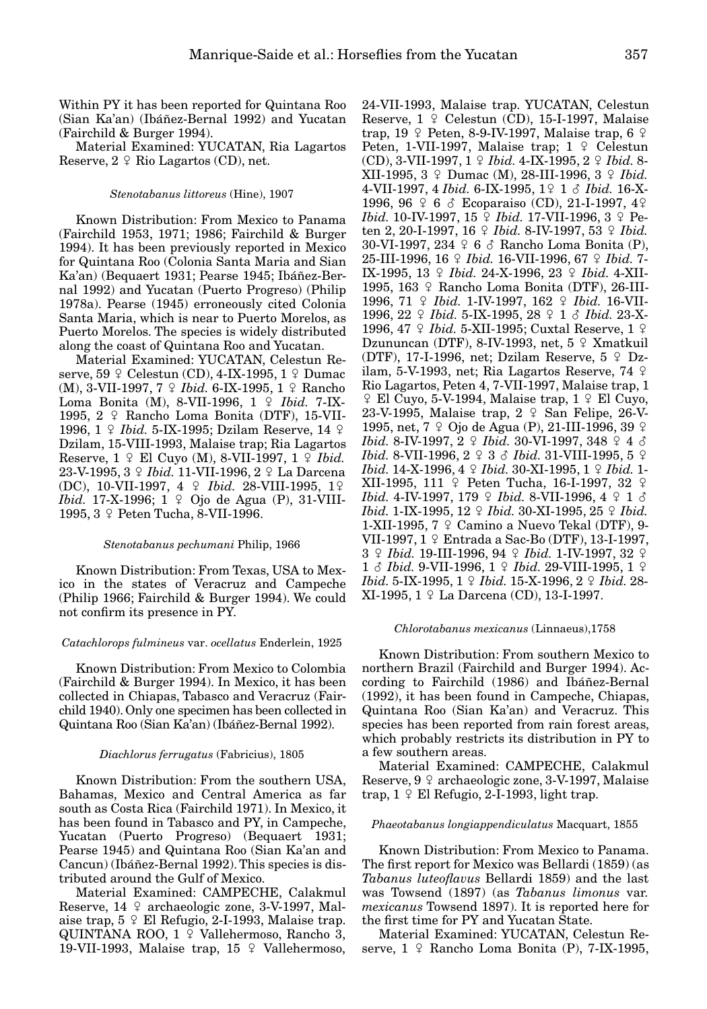Within PY it has been reported for Quintana Roo (Sian Ka'an) (Ibáñez-Bernal 1992) and Yucatan (Fairchild & Burger 1994).

Material Examined: YUCATAN, Ria Lagartos Reserve,  $2 \nsubseteq$  Rio Lagartos (CD), net.

#### *Stenotabanus littoreus* (Hine), 1907

Known Distribution: From Mexico to Panama (Fairchild 1953, 1971; 1986; Fairchild & Burger 1994). It has been previously reported in Mexico for Quintana Roo (Colonia Santa Maria and Sian Ka'an) (Bequaert 1931; Pearse 1945; Ibáñez-Bernal 1992) and Yucatan (Puerto Progreso) (Philip 1978a). Pearse (1945) erroneously cited Colonia Santa Maria, which is near to Puerto Morelos, as Puerto Morelos. The species is widely distributed along the coast of Quintana Roo and Yucatan.

Material Examined: YUCATAN, Celestun Reserve, 59  $\varphi$  Celestun (CD), 4-IX-1995, 1  $\varphi$  Dumac (M), 3-VII-1997, 7 9 Ibid. 6-IX-1995, 1 9 Rancho Loma Bonita (M), 8-VII-1996, 1 º *Ibid.* 7-IX-1995,  $2 \div$  Rancho Loma Bonita (DTF), 15-VII-1996, 1 º *Ibid.* 5-IX-1995; Dzilam Reserve, 14 º Dzilam, 15-VIII-1993, Malaise trap; Ria Lagartos Reserve,  $1 \nsubseteq$  El Cuyo (M), 8-VII-1997,  $1 \nsubseteq$  *Ibid.* 23-V-1995, 3 9 *Ibid.* 11-VII-1996, 2 9 La Darcena (DC), 10-VII-1997, 4  $\varphi$  *Ibid.* 28-VIII-1995, 1 $\varphi$ *Ibid.* 17-X-1996;  $1 \nsubseteq$  Ojo de Agua (P), 31-VIII-1995, 3 º Peten Tucha, 8-VII-1996.

## *Stenotabanus pechumani* Philip, 1966

Known Distribution: From Texas, USA to Mexico in the states of Veracruz and Campeche (Philip 1966; Fairchild & Burger 1994). We could not confirm its presence in PY.

#### *Catachlorops fulmineus* var. *ocellatus* Enderlein, 1925

Known Distribution: From Mexico to Colombia (Fairchild & Burger 1994). In Mexico, it has been collected in Chiapas, Tabasco and Veracruz (Fairchild 1940). Only one specimen has been collected in Quintana Roo (Sian Ka'an) (Ibáñez-Bernal 1992).

#### *Diachlorus ferrugatus* (Fabricius), 1805

Known Distribution: From the southern USA, Bahamas, Mexico and Central America as far south as Costa Rica (Fairchild 1971). In Mexico, it has been found in Tabasco and PY, in Campeche, Yucatan (Puerto Progreso) (Bequaert 1931; Pearse 1945) and Quintana Roo (Sian Ka'an and Cancun) (Ibáñez-Bernal 1992). This species is distributed around the Gulf of Mexico.

Material Examined: CAMPECHE, Calakmul Reserve,  $14 \div \text{archaeologic zone}, 3-V-1997, \text{Mal-}$ aise trap,  $5 \nsubseteq$  El Refugio, 2-I-1993, Malaise trap. QUINTANA ROO,  $1 \nsubseteq$  Vallehermoso, Rancho 3, 19-VII-1993, Malaise trap,  $15 \div$  Vallehermoso,

24-VII-1993, Malaise trap. YUCATAN, Celestun Reserve,  $1 \nsubseteq$  Celestun (CD), 15-I-1997, Malaise trap,  $19 \nsubseteq$  Peten, 8-9-IV-1997, Malaise trap, 6  $\varphi$ Peten, 1-VII-1997, Malaise trap;  $1 \nsubseteq$  Celestun (CD), 3-VII-1997, 1 / *Ibid.* 4-IX-1995, 2 / *Ibid.* 8- XII-1995,  $3 \nsubseteq$  Dumac (M), 28-III-1996,  $3 \nsubseteq$  *Ibid.* 4-VII-1997, 4 *Ibid.* 6-IX-1995, 19 1 8 *Ibid.* 16-X-1996, 96  $\frac{6}{7}$  6  $\frac{3}{7}$  Ecoparaiso (CD), 21-I-1997, 4 $\frac{2}{7}$ *Ibid.* 10-IV-1997, 15  $\circ$  *Ibid.* 17-VII-1996, 3  $\circ$  Peten 2, 20-I-1997, 16  $\frac{1}{7}$  *Ibid.* 8-IV-1997, 53  $\frac{1}{7}$  *Ibid.* 30-VI-1997, 234  $\varphi$  6  $\varphi$  Rancho Loma Bonita (P), 25-III-1996, 16  $\Omega$  *Ibid.* 16-VII-1996, 67  $\Omega$  *Ibid.* 7-IX-1995, 13  $\Omega$  *Ibid.* 24-X-1996, 23  $\Omega$  *Ibid.* 4-XII-1995, 163 º Rancho Loma Bonita (DTF), 26-III-1996, 71 *° Ibid.* 1-IV-1997, 162 *° Ibid.* 16-VII-1996, 22  $\Omega$  *Ibid.* 5-IX-1995, 28  $\Omega$  1  $\delta$  *Ibid.* 23-X-1996, 47 *º Ibid.* 5-XII-1995; Cuxtal Reserve, 1 *º* Dzununcan (DTF), 8-IV-1993, net,  $5 \nvert 2$  Xmatkuil (DTF), 17-I-1996, net; Dzilam Reserve,  $5 \div Dz$ ilam, 5-V-1993, net; Ria Lagartos Reserve, 74  $\varphi$ Rio Lagartos, Peten 4, 7-VII-1997, Malaise trap, 1  $\frac{1}{2}$  El Cuyo, 5-V-1994, Malaise trap, 1  $\frac{1}{2}$  El Cuyo, 23-V-1995, Malaise trap,  $2 \div$  San Felipe, 26-V-1995, net, 7 º Ojo de Agua (P), 21-III-1996, 39 º *Ibid.* 8-IV-1997,  $2 \nsubseteq$  *Ibid.* 30-VI-1997,  $348 \nsubseteq 4 \nsubseteq$ *Ibid.* 8-VII-1996, 2  $9$  3  $\delta$  *Ibid.* 31-VIII-1995, 5  $9$ *Ibid.* 14-X-1996, 4  $\Omega$  *Ibid.* 30-XI-1995, 1  $\Omega$  *Ibid.* 1-XII-1995, 111  $\varphi$  Peten Tucha, 16-I-1997, 32  $\varphi$ *Ibid.* 4-IV-1997, 179 ♀ *Ibid.* 8-VII-1996, 4 ♀ 1 ♂ *Ibid.* 1-IX-1995, 12  $\circ$  *Ibid.* 30-XI-1995, 25  $\circ$  *Ibid.* 1-XII-1995,  $7 \text{ } \Omega$  Camino a Nuevo Tekal (DTF), 9-VII-1997, 1 º Entrada a Sac-Bo (DTF), 13-I-1997, 3 / *Ibid.* 19-III-1996, 94 / *Ibid.* 1-IV-1997, 32 / 1 *§ Ibid.* 9-VII-1996, 1  $\Omega$  *Ibid.* 29-VIII-1995, 1  $\Omega$ *Ibid.* 5-IX-1995, 1  $\circ$  *Ibid.* 15-X-1996, 2  $\circ$  *Ibid.* 28- $XI-1995, 1 \& Ia Darcena (CD), 13-I-1997.$ 

#### *Chlorotabanus mexicanus* (Linnaeus),1758

Known Distribution: From southern Mexico to northern Brazil (Fairchild and Burger 1994). According to Fairchild (1986) and Ibáñez-Bernal (1992), it has been found in Campeche, Chiapas, Quintana Roo (Sian Ka'an) and Veracruz. This species has been reported from rain forest areas, which probably restricts its distribution in PY to a few southern areas.

Material Examined: CAMPECHE, Calakmul Reserve,  $9 \text{ } \varphi$  archaeologic zone, 3-V-1997, Malaise trap,  $1 \nsubseteq$  El Refugio, 2-I-1993, light trap.

#### *Phaeotabanus longiappendiculatus* Macquart, 1855

Known Distribution: From Mexico to Panama. The first report for Mexico was Bellardi (1859) (as *Tabanus luteoflavus* Bellardi 1859) and the last was Towsend (1897) (as *Tabanus limonus* var. *mexicanus* Towsend 1897). It is reported here for the first time for PY and Yucatan State.

Material Examined: YUCATAN, Celestun Reserve,  $1 \nsubseteq$  Rancho Loma Bonita (P), 7-IX-1995,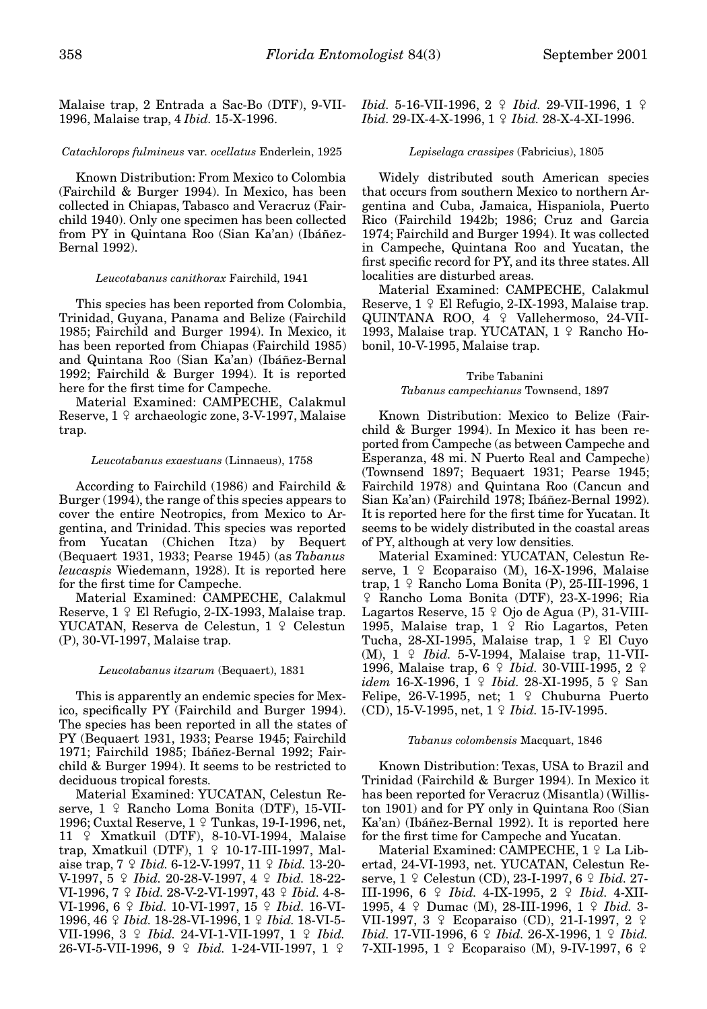Malaise trap, 2 Entrada a Sac-Bo (DTF), 9-VII-1996, Malaise trap, 4 *Ibid.* 15-X-1996.

#### *Catachlorops fulmineus* var*. ocellatus* Enderlein, 1925

Known Distribution: From Mexico to Colombia (Fairchild & Burger 1994). In Mexico, has been collected in Chiapas, Tabasco and Veracruz (Fairchild 1940). Only one specimen has been collected from PY in Quintana Roo (Sian Ka'an) (Ibáñez-Bernal 1992).

#### *Leucotabanus canithorax* Fairchild, 1941

This species has been reported from Colombia, Trinidad, Guyana, Panama and Belize (Fairchild 1985; Fairchild and Burger 1994). In Mexico, it has been reported from Chiapas (Fairchild 1985) and Quintana Roo (Sian Ka'an) (Ibáñez-Bernal 1992; Fairchild & Burger 1994). It is reported here for the first time for Campeche.

Material Examined: CAMPECHE, Calakmul Reserve,  $1 \nsubseteq \text{archaeologic zone}, 3-V-1997, Malaise$ trap.

#### *Leucotabanus exaestuans* (Linnaeus), 1758

According to Fairchild (1986) and Fairchild & Burger (1994), the range of this species appears to cover the entire Neotropics, from Mexico to Argentina, and Trinidad. This species was reported from Yucatan (Chichen Itza) by Bequert (Bequaert 1931, 1933; Pearse 1945) (as *Tabanus leucaspis* Wiedemann, 1928). It is reported here for the first time for Campeche.

Material Examined: CAMPECHE, Calakmul Reserve,  $1 \nsubseteq$  El Refugio, 2-IX-1993, Malaise trap. YUCATAN, Reserva de Celestun, 1 º Celestun (P), 30-VI-1997, Malaise trap.

#### *Leucotabanus itzarum* (Bequaert), 1831

This is apparently an endemic species for Mexico, specifically PY (Fairchild and Burger 1994). The species has been reported in all the states of PY (Bequaert 1931, 1933; Pearse 1945; Fairchild 1971; Fairchild 1985; Ibáñez-Bernal 1992; Fairchild & Burger 1994). It seems to be restricted to deciduous tropical forests.

Material Examined: YUCATAN, Celestun Reserve,  $1 \nsubseteq$  Rancho Loma Bonita (DTF), 15-VII-1996; Cuxtal Reserve, 1 º Tunkas, 19-I-1996, net,  $11 \tImes$  Xmatkuil (DTF), 8-10-VI-1994, Malaise trap, Xmatkuil (DTF),  $1 \nsubseteq 10-17$ -III-1997, Malaise trap,  $7 \nsubseteq *Ibid.* 6-12-V-1997, 11 \nsubseteq *Ibid.* 13-20-$ V-1997, 5  $9$  *Ibid.* 20-28-V-1997, 4  $9$  *Ibid.* 18-22-VI-1996, 7 º *Ibid.* 28-V-2-VI-1997, 43 º *Ibid.* 4-8-VI-1996, 6  $\Omega$  *Ibid.* 10-VI-1997, 15  $\Omega$  *Ibid.* 16-VI-1996, 46  $\frac{1}{7}$  *Ibid.* 18-28-VI-1996, 1  $\frac{1}{7}$  *Ibid.* 18-VI-5-VII-1996, 3  $\Omega$  *Ibid.* 24-VI-1-VII-1997, 1  $\Omega$  *Ibid.* **26-VI-5-VII-1996, 9**  $\Omega$  *Ibid.* 1-24-VII-1997, 1  $\Omega$ 

*Ibid.* 5-16-VII-1996,  $2 \nsubseteq$  *Ibid.* 29-VII-1996,  $1 \nsubseteq$ *Ibid.* 29-IX-4-X-1996, 1  $\circ$  *Ibid.* 28-X-4-XI-1996.

#### *Lepiselaga crassipes* (Fabricius), 1805

Widely distributed south American species that occurs from southern Mexico to northern Argentina and Cuba, Jamaica, Hispaniola, Puerto Rico (Fairchild 1942b; 1986; Cruz and Garcia 1974; Fairchild and Burger 1994). It was collected in Campeche, Quintana Roo and Yucatan, the first specific record for PY, and its three states. All localities are disturbed areas.

Material Examined: CAMPECHE, Calakmul Reserve,  $1 \nsubseteq$  El Refugio, 2-IX-1993, Malaise trap. QUINTANA ROO,  $4 \hat{ }$  Vallehermoso, 24-VII-1993, Malaise trap. YUCATAN,  $1 \text{ } 9$  Rancho Hobonil, 10-V-1995, Malaise trap.

## Tribe Tabanini *Tabanus campechianus* Townsend, 1897

Known Distribution: Mexico to Belize (Fairchild & Burger 1994). In Mexico it has been reported from Campeche (as between Campeche and Esperanza, 48 mi. N Puerto Real and Campeche) (Townsend 1897; Bequaert 1931; Pearse 1945; Fairchild 1978) and Quintana Roo (Cancun and Sian Ka'an) (Fairchild 1978; Ibáñez-Bernal 1992). It is reported here for the first time for Yucatan. It seems to be widely distributed in the coastal areas of PY, although at very low densities.

Material Examined: YUCATAN, Celestun Reserve,  $1 \oplus$  Ecoparaiso (M), 16-X-1996, Malaise trap,  $1 \nsubseteq$  Rancho Loma Bonita (P), 25-III-1996, 1 / Rancho Loma Bonita (DTF), 23-X-1996; Ria Lagartos Reserve,  $15 \text{ }^{\circ}$  Ojo de Agua (P), 31-VIII-1995, Malaise trap,  $1 \nvert 9$  Rio Lagartos, Peten Tucha, 28-XI-1995, Malaise trap, 1 º El Cuyo  $(M)$ ,  $1 \leftarrow$  *Ibid.* 5-V-1994, Malaise trap, 11-VII-**1996, Malaise trap, 6** *\perior Ibid.* **30-VIII-1995**, 2 \perior *idem* 16-X-1996, 1 *Q Ibid.* 28-XI-1995, 5 *Q* San Felipe, 26-V-1995, net;  $1 \nvert \varphi$  Chuburna Puerto (CD), 15-V-1995, net, 1 / *Ibid.* 15-IV-1995.

#### *Tabanus colombensis* Macquart, 1846

Known Distribution: Texas, USA to Brazil and Trinidad (Fairchild & Burger 1994). In Mexico it has been reported for Veracruz (Misantla) (Williston 1901) and for PY only in Quintana Roo (Sian Ka'an) (Ibáñez-Bernal 1992). It is reported here for the first time for Campeche and Yucatan.

Material Examined: CAMPECHE,  $1 \nsubseteq$  La Libertad, 24-VI-1993, net. YUCATAN, Celestun Reserve,  $1 \nsubseteq \text{Celestun (CD)}, 23-I-1997, 6 \nsubseteq \text{Ibid. } 27-I$ III-1996, 6  $\Omega$  *Ibid.* 4-IX-1995, 2  $\Omega$  *Ibid.* 4-XII-1995, 4  $\varphi$  Dumac (M), 28-III-1996, 1  $\varphi$  *Ibid.* 3-VII-1997,  $3 \oplus$  Ecoparaiso (CD), 21-I-1997, 2  $\oplus$ *Ibid.* 17-VII-1996, 6  $\Omega$  *Ibid.* 26-X-1996, 1  $\Omega$  *Ibid.* 7-XII-1995,  $1 \nsubseteq$  Ecoparaiso (M), 9-IV-1997, 6  $\varphi$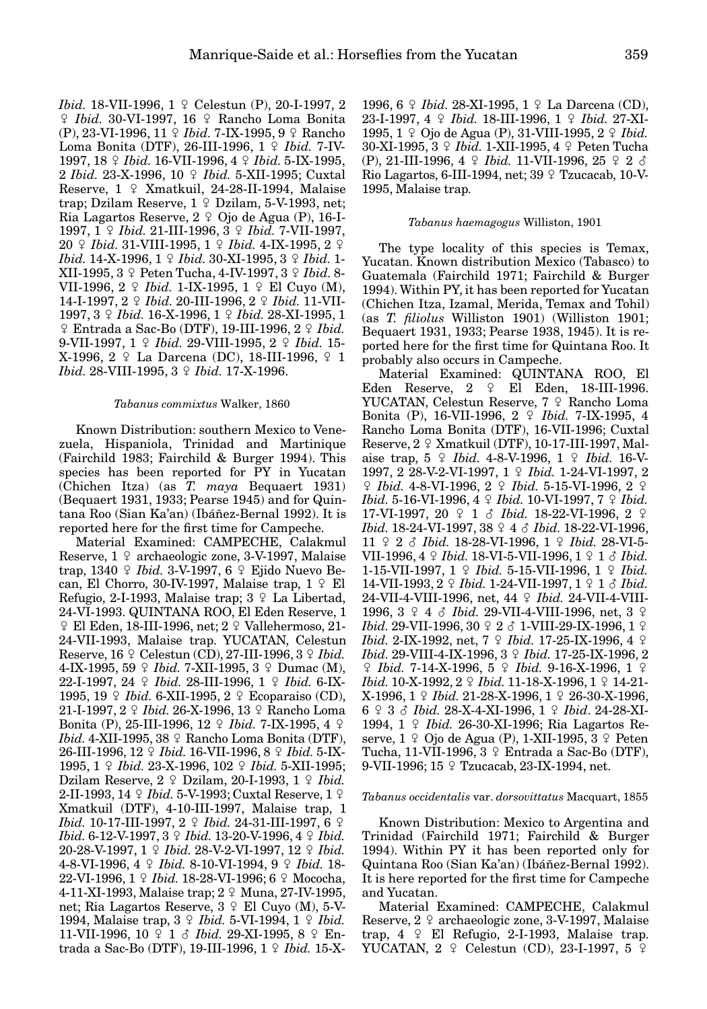*Ibid.* 18-VII-1996, 1 º Celestun (P), 20-I-1997, 2 / *Ibid.* 30-VI-1997, 16 / Rancho Loma Bonita (P), 23-VI-1996, 11 / *Ibid.* 7-IX-1995, 9 / Rancho Loma Bonita (DTF), 26-III-1996, 1 º *Ibid.* 7-IV-1997, 18 / *Ibid.* 16-VII-1996, 4 / *Ibid.* 5-IX-1995, 2 *Ibid.* 23-X-1996, 10 / *Ibid.* 5-XII-1995; Cuxtal Reserve,  $1 \nsubseteq X$ matkuil, 24-28-II-1994, Malaise trap; Dzilam Reserve,  $1 \nsubseteq$  Dzilam, 5-V-1993, net; Ria Lagartos Reserve,  $2 \nvert 2 \nvert 0$ jo de Agua (P), 16-I-1997, 1  $\Omega$  *Ibid.* 21-III-1996, 3  $\Omega$  *Ibid.* 7-VII-1997, 20  $\Omega$  *Ibid.* 31-VIII-1995, 1  $\Omega$  *Ibid.* 4-IX-1995, 2  $\Omega$ *Ibid.* 14-X-1996, 1  $\circ$  *Ibid.* 30-XI-1995, 3  $\circ$  *Ibid.* 1-XII-1995, 3 / Peten Tucha, 4-IV-1997, 3 / *Ibid.* 8- VII-1996, 2 *Q Ibid.* 1-IX-1995, 1 *Q* El Cuyo (M), 14-I-1997, 2  $\Omega$  *Ibid.* 20-III-1996, 2  $\Omega$  *Ibid.* 11-VII-1997, 3  $\frac{1}{7}$  *Ibid.* 16-X-1996, 1  $\frac{1}{7}$  *Ibid.* 28-XI-1995, 1  $\frac{1}{2}$  Entrada a Sac-Bo (DTF), 19-III-1996, 2  $\frac{1}{2}$  *Ibid.* 9-VII-1997, 1 *Q Ibid.* 29-VIII-1995, 2 *Q Ibid.* 15-X-1996, 2 º La Darcena (DC), 18-III-1996, º 1 *Ibid.* 28-VIII-1995, 3  $\circ$  *Ibid.* 17-X-1996.

## *Tabanus commixtus* Walker, 1860

Known Distribution: southern Mexico to Venezuela, Hispaniola, Trinidad and Martinique (Fairchild 1983; Fairchild & Burger 1994). This species has been reported for PY in Yucatan (Chichen Itza) (as *T. maya* Bequaert 1931) (Bequaert 1931, 1933; Pearse 1945) and for Quintana Roo (Sian Ka'an) (Ibáñez-Bernal 1992). It is reported here for the first time for Campeche.

Material Examined: CAMPECHE, Calakmul Reserve,  $1 \nsubseteq \text{archaeologic zone}, 3-V-1997, Malaise$ trap, 1340 *Q Ibid.* 3-V-1997, 6 *Q* Ejido Nuevo Becan, El Chorro, 30-IV-1997, Malaise trap,  $1 \nsubseteq$  El Refugio, 2-I-1993, Malaise trap;  $3 \nsubseteq$  La Libertad, 24-VI-1993. QUINTANA ROO, El Eden Reserve, 1  $\varphi$  El Eden, 18-III-1996, net;  $2 \varphi$  Vallehermoso, 21-24-VII-1993, Malaise trap. YUCATAN, Celestun Reserve,  $16 \text{ } \frac{\circ}{2}$  Celestun (CD), 27-III-1996,  $3 \text{ } \frac{\circ}{2}$  *Ibid.* 4-IX-1995, 59  $\frac{1}{7}$  *Ibid.* 7-XII-1995, 3  $\frac{1}{7}$  Dumac (M), 22-I-1997, 24  $\Omega$  *Ibid.* 28-III-1996, 1  $\Omega$  *Ibid.* 6-IX-1995, 19 *Q Ibid.* 6-XII-1995, 2 *Q* Ecoparaiso (CD), 21-I-1997, 2 º *Ibid.* 26-X-1996, 13 º Rancho Loma Bonita (P), 25-III-1996, 12  $\Omega$  *Ibid.* 7-IX-1995, 4  $\Omega$ *Ibid.* 4-XII-1995, 38 º Rancho Loma Bonita (DTF), 26-III-1996, 12 \times *Ibid.* 16-VII-1996, 8 \times *Ibid.* 5-IX-1995, 1 9 *Ibid.* 23-X-1996, 102 9 *Ibid.* 5-XII-1995; Dzilam Reserve,  $2 \nsubseteq$  Dzilam, 20-I-1993,  $1 \nsubseteq$  *Ibid.* 2-II-1993, 14 *Q Ibid.* 5-V-1993; Cuxtal Reserve, 1 *Q* Xmatkuil (DTF), 4-10-III-1997, Malaise trap, 1 *Ibid.* 10-17-III-1997, 2  $\varphi$  *Ibid.* 24-31-III-1997, 6  $\varphi$ *Ibid.* 6-12-V-1997, 3 / *Ibid.* 13-20-V-1996, 4 / *Ibid.* 20-28-V-1997, 1 / *Ibid.* 28-V-2-VI-1997, 12 / *Ibid.* 4-8-VI-1996, 4  $\Omega$  *Ibid.* 8-10-VI-1994, 9  $\Omega$  *Ibid.* 18-22-VI-1996, 1 9 *Ibid.* 18-28-VI-1996; 6 9 Mococha, 4-11-XI-1993, Malaise trap; 2 9 Muna, 27-IV-1995, net; Ria Lagartos Reserve,  $3 \nsubseteq$  El Cuyo (M), 5-V-1994, Malaise trap, 3  $\Omega$  *Ibid.* 5-VI-1994, 1  $\Omega$  *Ibid.* 11-VII-1996, 10  $\Omega$  1  $\delta$  *Ibid.* 29-XI-1995, 8  $\Omega$  Entrada a Sac-Bo (DTF), 19-III-1996, 1 º *Ibid.* 15-X-

1996, 6  $\frac{1}{7}$  *Ibid.* 28-XI-1995, 1  $\frac{1}{7}$  La Darcena (CD), 23-I-1997, 4  $\Omega$  *Ibid.* 18-III-1996, 1  $\Omega$  *Ibid.* 27-XI-1995, 1 º Ojo de Agua (P), 31-VIII-1995, 2 º *Ibid.* 30-XI-1995, 3  $\frac{1}{7}$  *Ibid.* 1-XII-1995, 4  $\frac{1}{7}$  Peten Tucha (P), 21-III-1996, 4 ♀ *Ibid.* 11-VII-1996, 25 ♀ 2 ♂ Rio Lagartos, 6-III-1994, net;  $39 \div$  Tzucacab, 10-V-1995, Malaise trap.

## *Tabanus haemagogus* Williston, 1901

The type locality of this species is Temax, Yucatan. Known distribution Mexico (Tabasco) to Guatemala (Fairchild 1971; Fairchild & Burger 1994). Within PY, it has been reported for Yucatan (Chichen Itza, Izamal, Merida, Temax and Tohil) (as *T. filiolus* Williston 1901) (Williston 1901; Bequaert 1931, 1933; Pearse 1938, 1945). It is reported here for the first time for Quintana Roo. It probably also occurs in Campeche.

Material Examined: QUINTANA ROO, El Eden Reserve,  $2 \quad 2 \quad$  El Eden, 18-III-1996. YUCATAN, Celestun Reserve, 7 º Rancho Loma Bonita (P), 16-VII-1996, 2 º *Ibid.* 7-IX-1995, 4 Rancho Loma Bonita (DTF), 16-VII-1996; Cuxtal Reserve,  $2 \nsubseteq X$ matkuil (DTF), 10-17-III-1997, Malaise trap,  $5 \frac{9}{16d}$ . 4-8-V-1996,  $1 \frac{9}{16d}$ . 16-V-1997, 2 28-V-2-VI-1997, 1 9 Ibid. 1-24-VI-1997, 2  $\frac{9}{7}$  *Ibid.* 4-8-VI-1996, 2  $\frac{9}{7}$  *Ibid.* 5-15-VI-1996, 2  $\frac{9}{7}$ *Ibid.* 5-16-VI-1996, 4  $\Omega$  *Ibid.* 10-VI-1997, 7  $\Omega$  *Ibid.* 17-VI-1997, 20  $\Omega$  1  $\delta$  *Ibid.* 18-22-VI-1996, 2  $\Omega$ *Ibid.* 18-24-VI-1997, 38 ♀ 4 ♂ *Ibid.* 18-22-VI-1996, 11  $\frac{9}{7}$  2  $\delta$  *Ibid.* 18-28-VI-1996, 1  $\frac{9}{7}$  *Ibid.* 28-VI-5-VII-1996, 4  $\Omega$  *Ibid.* 18-VI-5-VII-1996, 1  $\Omega$  1  $\delta$  *Ibid.* 1-15-VII-1997, 1 / *Ibid.* 5-15-VII-1996, 1 / *Ibid.* 14-VII-1993, 2  $\Omega$  *Ibid.* 1-24-VII-1997, 1  $\Omega$  1  $\delta$  *Ibid.* 24-VII-4-VIII-1996, net, 44 º Ibid. 24-VII-4-VIII-1996,  $3 \div 4 \div 7$  *Ibid.* 29-VII-4-VIII-1996, net,  $3 \div 7$ *Ibid.* 29-VII-1996, 30 ♀ 2 ♂ 1-VIII-29-IX-1996, 1 ♀ *Ibid.* 2-IX-1992, net, 7  $\Omega$  *Ibid.* 17-25-IX-1996, 4  $\Omega$ *Ibid.* 29-VIII-4-IX-1996, 3  $\circ$  *Ibid.* 17-25-IX-1996, 2 / *Ibid.* 7-14-X-1996, 5 / *Ibid.* 9-16-X-1996, 1 / *Ibid.* 10-X-1992, 2  $\circ$  *Ibid.* 11-18-X-1996, 1  $\circ$  14-21-X-1996, 1  $\Omega$  *Ibid.* 21-28-X-1996, 1  $\Omega$  26-30-X-1996, 6  $9$  3  $8$  *Ibid.* 28-X-4-XI-1996, 1  $9$  *Ibid.* 24-28-XI-1994, 1 / *Ibid.* 26-30-XI-1996; Ria Lagartos Reserve,  $1 \nsubseteq$  Ojo de Agua (P), 1-XII-1995,  $3 \nsubseteq$  Peten Tucha, 11-VII-1996, 3  $\text{\textdegree}$  Entrada a Sac-Bo (DTF), 9-VII-1996; 15 º Tzucacab, 23-IX-1994, net.

## *Tabanus occidentalis* var. *dorsovittatus* Macquart, 1855

Known Distribution: Mexico to Argentina and Trinidad (Fairchild 1971; Fairchild & Burger 1994). Within PY it has been reported only for Quintana Roo (Sian Ka'an) (Ibáñez-Bernal 1992). It is here reported for the first time for Campeche and Yucatan.

Material Examined: CAMPECHE, Calakmul Reserve,  $2 \nsubseteq \text{archaeologic zone}, 3-V-1997, Malaise$ trap, 4  $\varphi$  El Refugio, 2-I-1993, Malaise trap. YUCATAN,  $2 \nsubseteq$  Celestun (CD), 23-I-1997, 5  $\varsubseteq$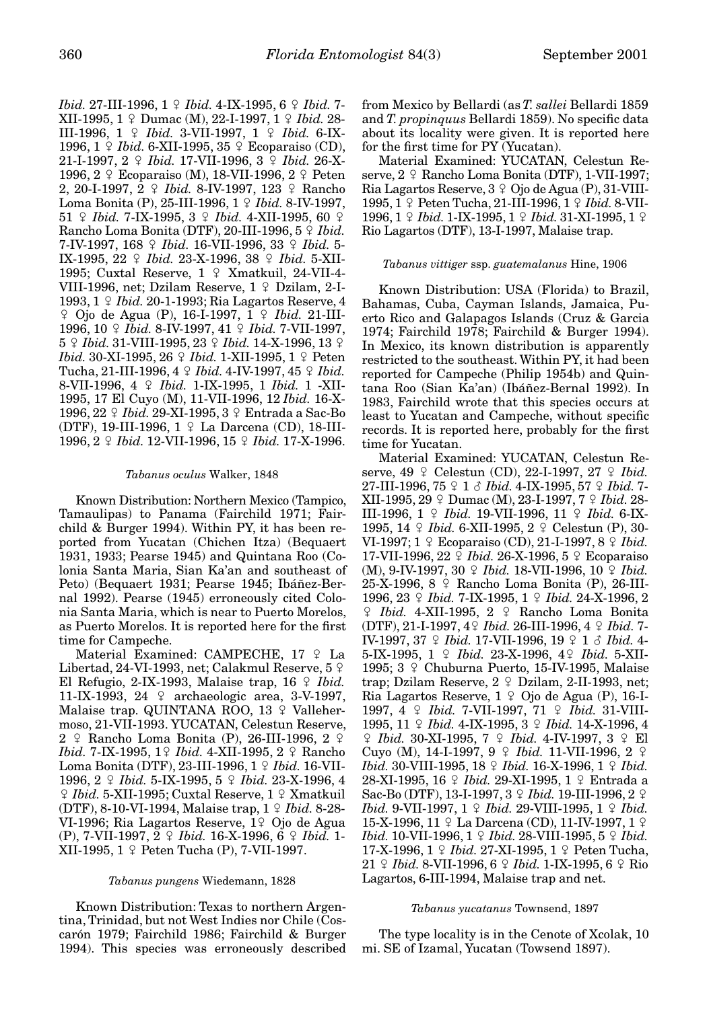*Ibid.* 27-III-1996, 1  $\circ$  *Ibid.* 4-IX-1995, 6  $\circ$  *Ibid.* 7-XII-1995, 1  $\Omega$  Dumac (M), 22-I-1997, 1  $\Omega$  *Ibid.* 28-III-1996, 1 *Q Ibid.* 3-VII-1997, 1 *Q Ibid.* 6-IX-1996,  $1 \nsubseteq Ibid. 6-XII-1995, 35 \nsubseteq Ecoparaiso (CD),$ 21-I-1997, 2  $9$  *Ibid.* 17-VII-1996, 3  $9$  *Ibid.* 26-X-1996,  $2 \nsubseteq$  Ecoparaiso (M), 18-VII-1996,  $2 \nsubseteq$  Peten 2, 20-I-1997, 2 <sup>2</sup> *Ibid.* 8-IV-1997, 123 <sup>2</sup> Rancho Loma Bonita (P), 25-III-1996, 1 º *Ibid.* 8-IV-1997, 51 *Q Ibid.* 7-IX-1995, 3 *Q Ibid.* 4-XII-1995, 60 *Q* Rancho Loma Bonita (DTF), 20-III-1996,  $5 \nsubseteq *Ibid.*$ 7-IV-1997, 168  $\frac{6}{7}$  *Ibid.* 16-VII-1996, 33  $\frac{6}{7}$  *Ibid.* 5-IX-1995, 22 9 *Ibid.* 23-X-1996, 38 9 *Ibid.* 5-XII-1995; Cuxtal Reserve,  $1 \nsubseteq X$ matkuil, 24-VII-4-VIII-1996, net; Dzilam Reserve,  $1 \nsubseteq$  Dzilam, 2-I-1993, 1 / *Ibid.* 20-1-1993; Ria Lagartos Reserve, 4 / Ojo de Agua (P), 16-I-1997, 1 / *Ibid.* 21-III-1996, 10  $\Omega$  *Ibid.* 8-IV-1997, 41  $\Omega$  *Ibid.* 7-VII-1997, 5 *° Ibid.* 31-VIII-1995, 23 *° Ibid.* 14-X-1996, 13 *° Ibid.* 30-XI-1995, 26  $\circ$  *Ibid.* 1-XII-1995, 1  $\circ$  Peten Tucha, 21-III-1996, 4 9 *Ibid.* 4-IV-1997, 45 9 *Ibid.* 8-VII-1996, 4 / *Ibid.* 1-IX-1995, 1 *Ibid.* 1 -XII-1995, 17 El Cuyo (M), 11-VII-1996, 12 *Ibid.* 16-X-1996, 22 *Q Ibid.* 29-XI-1995, 3 *Q* Entrada a Sac-Bo (DTF), 19-III-1996,  $1 \nsubseteq$  La Darcena (CD), 18-III-1996, 2  $\sqrt{$  *Ibid.* 12-VII-1996, 15  $\sqrt{}$  *Ibid.* 17-X-1996.

#### *Tabanus oculus* Walker, 1848

Known Distribution: Northern Mexico (Tampico, Tamaulipas) to Panama (Fairchild 1971; Fairchild & Burger 1994). Within PY, it has been reported from Yucatan (Chichen Itza) (Bequaert 1931, 1933; Pearse 1945) and Quintana Roo (Colonia Santa Maria, Sian Ka'an and southeast of Peto) (Bequaert 1931; Pearse 1945; Ibáñez-Bernal 1992). Pearse (1945) erroneously cited Colonia Santa Maria, which is near to Puerto Morelos, as Puerto Morelos. It is reported here for the first time for Campeche.

Material Examined: CAMPECHE,  $17$   $\degree$  La Libertad, 24-VI-1993, net; Calakmul Reserve, 5  $\circ$ El Refugio, 2-IX-1993, Malaise trap,  $16 \nsubseteq *Ibid.*$ 11-IX-1993, 24 º archaeologic area, 3-V-1997, Malaise trap. QUINTANA ROO, 13 º Vallehermoso, 21-VII-1993. YUCATAN, Celestun Reserve, 2  $\varphi$  Rancho Loma Bonita (P), 26-III-1996, 2  $\varphi$ *Ibid.* 7-IX-1995, 1º *Ibid.* 4-XII-1995, 2 º Rancho Loma Bonita (DTF), 23-III-1996, 1 º Ibid. 16-VII-1996, 2  $\varphi$  *Ibid.* 5-IX-1995, 5  $\varphi$  *Ibid.* 23-X-1996, 4  $\frac{1}{2}$  *Ibid.* 5-XII-1995; Cuxtal Reserve, 1  $\frac{1}{2}$  Xmatkuil (DTF), 8-10-VI-1994, Malaise trap, 1 / *Ibid.* 8-28- VI-1996; Ria Lagartos Reserve, 1º Ojo de Agua (P), 7-VII-1997, 2 / *Ibid.* 16-X-1996, 6 / *Ibid.* 1- XII-1995,  $1 \nsubseteq$  Peten Tucha (P), 7-VII-1997.

## *Tabanus pungens* Wiedemann, 1828

Known Distribution: Texas to northern Argentina, Trinidad, but not West Indies nor Chile (Coscarón 1979; Fairchild 1986; Fairchild & Burger 1994). This species was erroneously described from Mexico by Bellardi (as *T. sallei* Bellardi 1859 and *T. propinquus* Bellardi 1859). No specific data about its locality were given. It is reported here for the first time for PY (Yucatan).

Material Examined: YUCATAN, Celestun Reserve,  $2 \div$  Rancho Loma Bonita (DTF), 1-VII-1997; Ria Lagartos Reserve,  $3 \nvert 9$  Ojo de Agua (P), 31-VIII-1995, 1 º Peten Tucha, 21-III-1996, 1 º *Ibid.* 8-VII-**1996, 1** *Q Ibid.* **1-IX-1995, 1** *Q Ibid.* **31-XI-1995, 1** *Q* Rio Lagartos (DTF), 13-I-1997, Malaise trap.

#### *Tabanus vittiger* ssp. *guatemalanus* Hine, 1906

Known Distribution: USA (Florida) to Brazil, Bahamas, Cuba, Cayman Islands, Jamaica, Puerto Rico and Galapagos Islands (Cruz & Garcia 1974; Fairchild 1978; Fairchild & Burger 1994). In Mexico, its known distribution is apparently restricted to the southeast. Within PY, it had been reported for Campeche (Philip 1954b) and Quintana Roo (Sian Ka'an) (Ibáñez-Bernal 1992). In 1983, Fairchild wrote that this species occurs at least to Yucatan and Campeche, without specific records. It is reported here, probably for the first time for Yucatan.

Material Examined: YUCATAN, Celestun Reserve, 49  $\varphi$  Celestun (CD), 22-I-1997, 27  $\varphi$  *Ibid.* 27-III-1996, 75  $\Omega$  1  $\delta$  *Ibid.* 4-IX-1995, 57  $\Omega$  *Ibid.* 7-XII-1995, 29  $\Omega$  Dumac (M), 23-I-1997, 7  $\Omega$  *Ibid.* 28-III-1996, 1 *Q Ibid.* 19-VII-1996, 11 *Q Ibid.* 6-IX-1995, 14 *Q Ibid.* 6-XII-1995, 2 *Q* Celestun (P), 30-VI-1997;  $1 \nsubseteq$  Ecoparaiso (CD), 21-I-1997,  $8 \nsubseteq$  *Ibid.* 17-VII-1996, 22 *\pdid.* 26-X-1996, 5 \pdd Ecoparaiso (M), 9-IV-1997, 30 ♀ *Ibid.* 18-VII-1996, 10 ♀ *Ibid.* 25-X-1996, 8 º Rancho Loma Bonita (P), 26-III-1996, 23  $\circ$  *Ibid.* 7-IX-1995, 1  $\circ$  *Ibid.* 24-X-1996, 2  $\hbox{$\]{\scriptstyle\rm I}}$  *Ibid.* 4-XII-1995, 2 $\hbox{$\]{\scriptstyle\rm I}}$  Rancho Loma Bonita (DTF), 21-I-1997, 4/ *Ibid.* 26-III-1996, 4 / *Ibid.* 7- IV-1997, 37  $\Omega$  *Ibid.* 17-VII-1996, 19  $\Omega$  1  $\delta$  *Ibid.* 4-5-IX-1995, 1  $\Omega$  *Ibid.* 23-X-1996, 4 $\Omega$  *Ibid.* 5-XII-1995;  $3 \div$  Chuburna Puerto, 15-IV-1995, Malaise trap; Dzilam Reserve,  $2 \nsubseteq$  Dzilam, 2-II-1993, net; Ria Lagartos Reserve,  $1 \nsubseteq$  Ojo de Agua (P), 16-I-1997, 4  $\frac{1}{7}$  *Ibid.* 7-VII-1997, 71  $\frac{1}{7}$  *Ibid.* 31-VIII-1995, 11  $\Omega$  *Ibid.* 4-IX-1995, 3  $\Omega$  *Ibid.* 14-X-1996, 4 / *Ibid.* 30-XI-1995, 7 / *Ibid.* 4-IV-1997, 3 / El Cuyo (M), 14-I-1997, 9 º *Ibid.* 11-VII-1996, 2 º *Ibid.* 30-VIII-1995, 18  $\circ$  *Ibid.* 16-X-1996, 1  $\circ$  *Ibid.* 28-XI-1995, 16 *\times Ibid.* 29-XI-1995, 1 \times Entrada a Sac-Bo (DTF), 13-I-1997, 3  $\Omega$  *Ibid.* 19-III-1996, 2  $\Omega$ *Ibid.* 9-VII-1997, 1  $\circ$  *Ibid.* 29-VIII-1995, 1  $\circ$  *Ibid.* 15-X-1996, 11  $\varphi$  La Darcena (CD), 11-IV-1997, 1  $\varphi$ *Ibid.* 10-VII-1996, 1  $\circ$  *Ibid.* 28-VIII-1995, 5  $\circ$  *Ibid.* 17-X-1996, 1  $\Omega$  *Ibid.* 27-XI-1995, 1  $\Omega$  Peten Tucha, 21 *\times Ibid.* 8-VII-1996, 6 \times *Ibid.* 1-IX-1995, 6 \times Rio Lagartos, 6-III-1994, Malaise trap and net.

#### *Tabanus yucatanus* Townsend, 1897

The type locality is in the Cenote of Xcolak, 10 mi. SE of Izamal, Yucatan (Towsend 1897).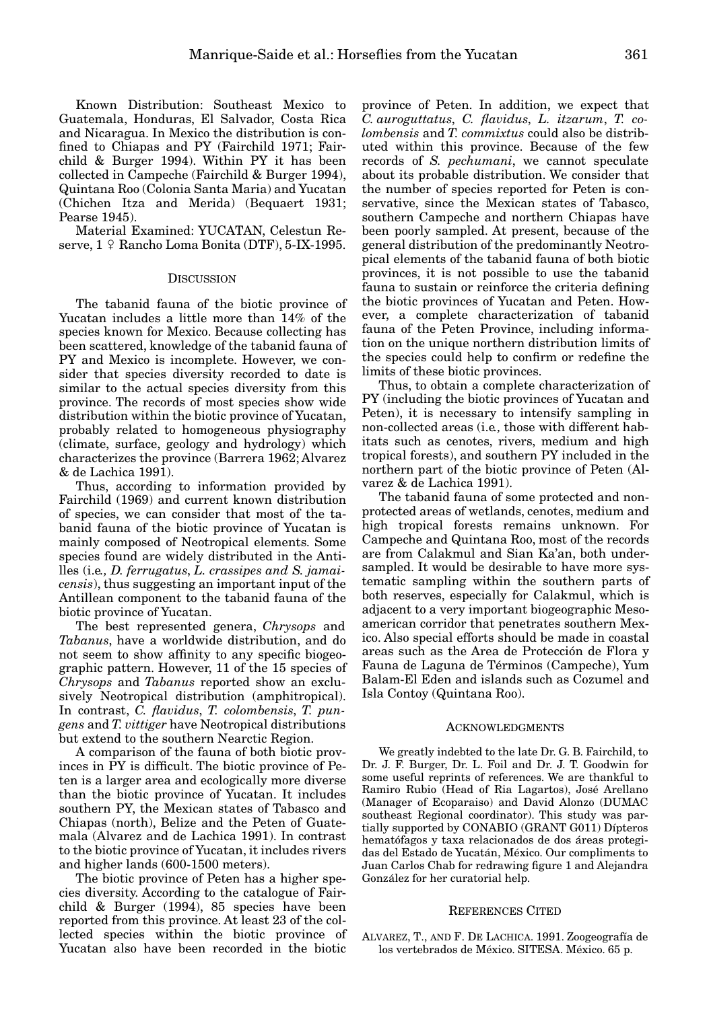Known Distribution: Southeast Mexico to Guatemala, Honduras, El Salvador, Costa Rica and Nicaragua. In Mexico the distribution is confined to Chiapas and PY (Fairchild 1971; Fairchild & Burger 1994). Within PY it has been collected in Campeche (Fairchild & Burger 1994), Quintana Roo (Colonia Santa Maria) and Yucatan (Chichen Itza and Merida) (Bequaert 1931; Pearse 1945).

Material Examined: YUCATAN, Celestun Reserve,  $1 \nsubseteq$  Rancho Loma Bonita (DTF), 5-IX-1995.

#### **DISCUSSION**

The tabanid fauna of the biotic province of Yucatan includes a little more than 14% of the species known for Mexico. Because collecting has been scattered, knowledge of the tabanid fauna of PY and Mexico is incomplete. However, we consider that species diversity recorded to date is similar to the actual species diversity from this province. The records of most species show wide distribution within the biotic province of Yucatan, probably related to homogeneous physiography (climate, surface, geology and hydrology) which characterizes the province (Barrera 1962; Alvarez & de Lachica 1991).

Thus, according to information provided by Fairchild (1969) and current known distribution of species, we can consider that most of the tabanid fauna of the biotic province of Yucatan is mainly composed of Neotropical elements. Some species found are widely distributed in the Antilles (i.e*., D. ferrugatus*, *L. crassipes and S. jamaicensis*), thus suggesting an important input of the Antillean component to the tabanid fauna of the biotic province of Yucatan.

The best represented genera, *Chrysops* and *Tabanus*, have a worldwide distribution, and do not seem to show affinity to any specific biogeographic pattern. However, 11 of the 15 species of *Chrysops* and *Tabanus* reported show an exclusively Neotropical distribution (amphitropical). In contrast, *C. flavidus*, *T. colombensis*, *T. pungens* and *T. vittiger* have Neotropical distributions but extend to the southern Nearctic Region.

A comparison of the fauna of both biotic provinces in PY is difficult. The biotic province of Peten is a larger area and ecologically more diverse than the biotic province of Yucatan. It includes southern PY, the Mexican states of Tabasco and Chiapas (north), Belize and the Peten of Guatemala (Alvarez and de Lachica 1991). In contrast to the biotic province of Yucatan, it includes rivers and higher lands (600-1500 meters).

The biotic province of Peten has a higher species diversity. According to the catalogue of Fairchild & Burger (1994), 85 species have been reported from this province. At least 23 of the collected species within the biotic province of Yucatan also have been recorded in the biotic

province of Peten. In addition, we expect that *C. auroguttatus*, *C. flavidus*, *L. itzarum*, *T. colombensis* and *T. commixtus* could also be distributed within this province. Because of the few records of *S. pechumani*, we cannot speculate about its probable distribution. We consider that the number of species reported for Peten is conservative, since the Mexican states of Tabasco, southern Campeche and northern Chiapas have been poorly sampled. At present, because of the general distribution of the predominantly Neotropical elements of the tabanid fauna of both biotic provinces, it is not possible to use the tabanid fauna to sustain or reinforce the criteria defining the biotic provinces of Yucatan and Peten. However, a complete characterization of tabanid fauna of the Peten Province, including information on the unique northern distribution limits of the species could help to confirm or redefine the limits of these biotic provinces.

Thus, to obtain a complete characterization of PY (including the biotic provinces of Yucatan and Peten), it is necessary to intensify sampling in non-collected areas (i.e*.,* those with different habitats such as cenotes, rivers, medium and high tropical forests), and southern PY included in the northern part of the biotic province of Peten (Alvarez & de Lachica 1991).

The tabanid fauna of some protected and nonprotected areas of wetlands, cenotes, medium and high tropical forests remains unknown. For Campeche and Quintana Roo, most of the records are from Calakmul and Sian Ka'an, both undersampled. It would be desirable to have more systematic sampling within the southern parts of both reserves, especially for Calakmul, which is adjacent to a very important biogeographic Mesoamerican corridor that penetrates southern Mexico. Also special efforts should be made in coastal areas such as the Area de Protección de Flora y Fauna de Laguna de Términos (Campeche), Yum Balam-El Eden and islands such as Cozumel and Isla Contoy (Quintana Roo).

#### ACKNOWLEDGMENTS

We greatly indebted to the late Dr. G. B. Fairchild, to Dr. J. F. Burger, Dr. L. Foil and Dr. J. T. Goodwin for some useful reprints of references. We are thankful to Ramiro Rubio (Head of Ria Lagartos), José Arellano (Manager of Ecoparaiso) and David Alonzo (DUMAC southeast Regional coordinator). This study was partially supported by CONABIO (GRANT G011) Dípteros hematófagos y taxa relacionados de dos áreas protegidas del Estado de Yucatán, México. Our compliments to Juan Carlos Chab for redrawing figure 1 and Alejandra González for her curatorial help.

#### REFERENCES CITED

ALVAREZ, T., AND F. DE LACHICA. 1991. Zoogeografía de los vertebrados de México. SITESA. México. 65 p.